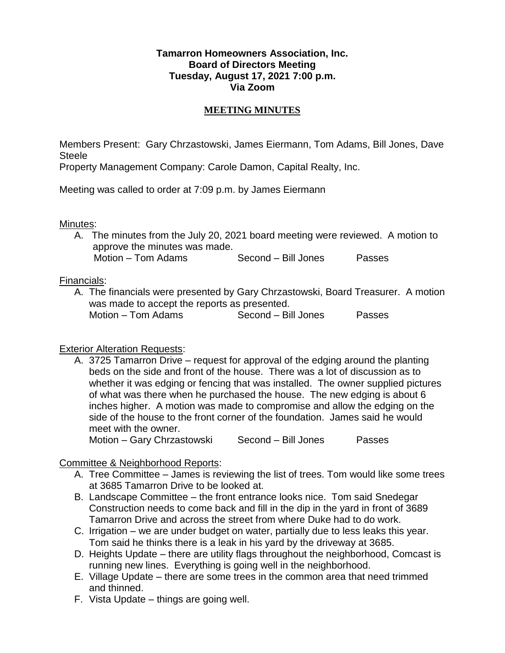### **Tamarron Homeowners Association, Inc. Board of Directors Meeting Tuesday, August 17, 2021 7:00 p.m. Via Zoom**

### **MEETING MINUTES**

Members Present: Gary Chrzastowski, James Eiermann, Tom Adams, Bill Jones, Dave Steele

Property Management Company: Carole Damon, Capital Realty, Inc.

Meeting was called to order at 7:09 p.m. by James Eiermann

# Minutes:

A. The minutes from the July 20, 2021 board meeting were reviewed. A motion to approve the minutes was made. Motion – Tom Adams Second – Bill Jones Passes

# Financials:

A. The financials were presented by Gary Chrzastowski, Board Treasurer. A motion was made to accept the reports as presented. Motion – Tom Adams Second – Bill Jones Passes

# Exterior Alteration Requests:

A. 3725 Tamarron Drive – request for approval of the edging around the planting beds on the side and front of the house. There was a lot of discussion as to whether it was edging or fencing that was installed. The owner supplied pictures of what was there when he purchased the house. The new edging is about 6 inches higher. A motion was made to compromise and allow the edging on the side of the house to the front corner of the foundation. James said he would meet with the owner.

Motion – Gary Chrzastowski Second – Bill Jones Passes

Committee & Neighborhood Reports:

- A. Tree Committee James is reviewing the list of trees. Tom would like some trees at 3685 Tamarron Drive to be looked at.
- B. Landscape Committee the front entrance looks nice. Tom said Snedegar Construction needs to come back and fill in the dip in the yard in front of 3689 Tamarron Drive and across the street from where Duke had to do work.
- C. Irrigation we are under budget on water, partially due to less leaks this year. Tom said he thinks there is a leak in his yard by the driveway at 3685.
- D. Heights Update there are utility flags throughout the neighborhood, Comcast is running new lines. Everything is going well in the neighborhood.
- E. Village Update there are some trees in the common area that need trimmed and thinned.
- F. Vista Update things are going well.